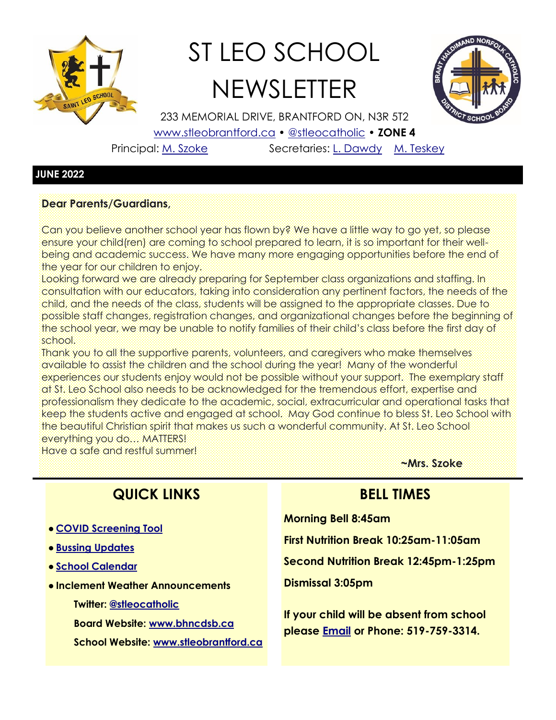

# ST LEO SCHOOL **NEWSLETTER**



233 MEMORIAL DRIVE, BRANTFORD ON, N3R 5T2

[www.stleobrantford.ca](http://www.stleobrantford.ca) • [@stleocatholic](https://twitter.com/stleocatholic) • **ZONE 4**

Principal: [M. Szoke](mailto:mszoke@bhncdsb.ca) Secretaries: [L. Dawdy](mailto:lwood@bhncdsb.ca) [M. Teskey](mailto:mteskey@bhncdsb.ca)

#### **JUNE 2022**

#### **Dear Parents/Guardians,**

Can you believe another school year has flown by? We have a little way to go yet, so please ensure your child(ren) are coming to school prepared to learn, it is so important for their wellbeing and academic success. We have many more engaging opportunities before the end of the year for our children to enjoy.

Looking forward we are already preparing for September class organizations and staffing. In consultation with our educators, taking into consideration any pertinent factors, the needs of the child, and the needs of the class, students will be assigned to the appropriate classes. Due to possible staff changes, registration changes, and organizational changes before the beginning of the school year, we may be unable to notify families of their child's class before the first day of school.

Thank you to all the supportive parents, volunteers, and caregivers who make themselves available to assist the children and the school during the year! Many of the wonderful experiences our students enjoy would not be possible without your support. The exemplary staff at St. Leo School also needs to be acknowledged for the tremendous effort, expertise and professionalism they dedicate to the academic, social, extracurricular and operational tasks that keep the students active and engaged at school. May God continue to bless St. Leo School with the beautiful Christian spirit that makes us such a wonderful community. At St. Leo School everything you do… MATTERS!

Have a safe and restful summer!

## **QUICK LINKS**

- **[COVID Screening Tool](https://covid-19.ontario.ca/school-screening/)**
- **[Bussing Updates](http://www.stsbhn.ca/)**
- **[School Calendar](http://www.stleobrantford.ca/events-calendar)**
- **Inclement Weather Announcements**
	- **Twitter: [@stleocatholic](https://twitter.com/stleocatholic)**
	- **Board Website: [www.bhncdsb.ca](http://www.bhncdsb.ca/)**
	- **School Website: [www.stleobrantford.ca](http://www.stleobrantford.ca)**

**~Mrs. Szoke**

## **BELL TIMES**

**Morning Bell 8:45am**

**First Nutrition Break 10:25am-11:05am**

**Second Nutrition Break 12:45pm-1:25pm**

**Dismissal 3:05pm**

**If your child will be absent from school please [Email](mailto:lwood@bhncdsb.ca,%20mteskey@bhncdsb.ca?subject=Attendance) or Phone: 519-759-3314.**